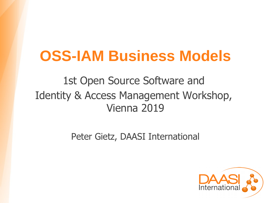# **OSS-IAM Business Models**

1st Open Source Software and Identity & Access Management Workshop, Vienna 2019

Peter Gietz, DAASI International

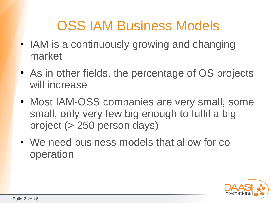# OSS IAM Business Models

- IAM is a continuously growing and changing market
- As in other fields, the percentage of OS projects will increase
- Most IAM-OSS companies are very small, some small, only very few big enough to fulfil a big project (> 250 person days)
- We need business models that allow for cooperation

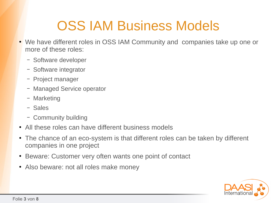# OSS IAM Business Models

- We have different roles in OSS IAM Community and companies take up one or more of these roles:
	- Software developer
	- Software integrator
	- Project manager
	- Managed Service operator
	- Marketing
	- Sales
	- Community building
- All these roles can have different business models
- The chance of an eco-system is that different roles can be taken by different companies in one project
- Beware: Customer very often wants one point of contact
- Also beware: not all roles make money

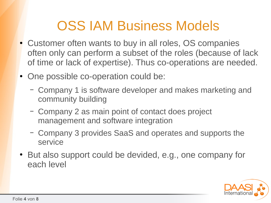### OSS IAM Business Models

- Customer often wants to buy in all roles, OS companies often only can perform a subset of the roles (because of lack of time or lack of expertise). Thus co-operations are needed.
- One possible co-operation could be:
	- Company 1 is software developer and makes marketing and community building
	- Company 2 as main point of contact does project management and software integration
	- Company 3 provides SaaS and operates and supports the service
- But also support could be devided, e.g., one company for each level

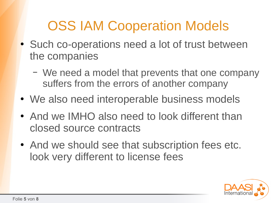# OSS IAM Cooperation Models

- Such co-operations need a lot of trust between the companies
	- We need a model that prevents that one company suffers from the errors of another company
- We also need interoperable business models
- And we IMHO also need to look different than closed source contracts
- And we should see that subscription fees etc. look very different to license fees

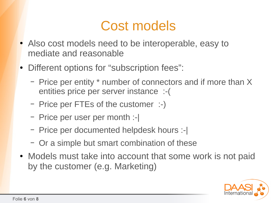#### Cost models

- Also cost models need to be interoperable, easy to mediate and reasonable
- Different options for "subscription fees":
	- Price per entity \* number of connectors and if more than X entities price per server instance :-(
	- Price per FTEs of the customer :-)
	- Price per user per month :-|
	- Price per documented helpdesk hours :-|
	- Or a simple but smart combination of these
- Models must take into account that some work is not paid by the customer (e.g. Marketing)

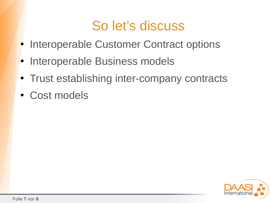### So let's discuss

- Interoperable Customer Contract options
- Interoperable Business models
- Trust establishing inter-company contracts
- Cost models